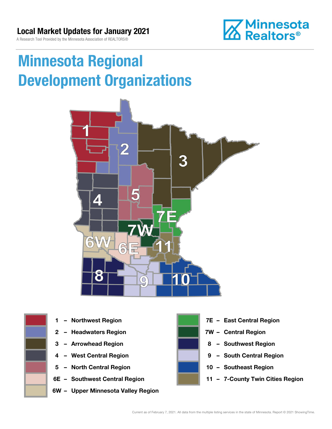

# Minnesota Regional Development Organizations





- 
- 2 Headwaters Region **1988 7W Central Region**
- 
- 
- 5 North Central Region 10 Southeast Region
- 
- 6W Upper Minnesota Valley Region



- 1 Northwest Region **1 1999 12 Property Contral Region** 
	-
- 3 Arrowhead Region **8 Southwest Region**
- 4 West Central Region **19 South Central Region** 
	-
- 6E Southwest Central Region **11 7-County Twin Cities Region**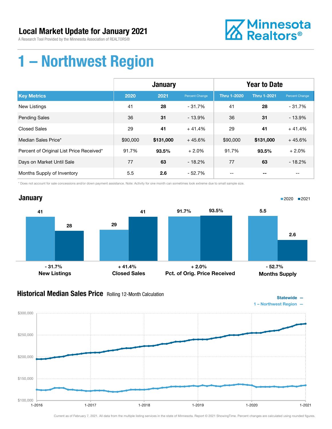A Research Tool Provided by the Minnesota Association of REALTORS®



### 1 – Northwest Region

|                                          | <b>January</b> |           |                | <b>Year to Date</b> |                    |                |
|------------------------------------------|----------------|-----------|----------------|---------------------|--------------------|----------------|
| <b>Key Metrics</b>                       | 2020           | 2021      | Percent Change | <b>Thru 1-2020</b>  | <b>Thru 1-2021</b> | Percent Change |
| New Listings                             | 41             | 28        | $-31.7%$       | 41                  | 28                 | $-31.7%$       |
| <b>Pending Sales</b>                     | 36             | 31        | $-13.9%$       | 36                  | 31                 | $-13.9%$       |
| <b>Closed Sales</b>                      | 29             | 41        | $+41.4%$       | 29                  | 41                 | $+41.4%$       |
| Median Sales Price*                      | \$90,000       | \$131,000 | $+45.6%$       | \$90,000            | \$131,000          | $+45.6%$       |
| Percent of Original List Price Received* | 91.7%          | 93.5%     | $+2.0%$        | 91.7%               | 93.5%              | $+2.0%$        |
| Days on Market Until Sale                | 77             | 63        | $-18.2%$       | 77                  | 63                 | $-18.2%$       |
| Months Supply of Inventory               | 5.5            | 2.6       | $-52.7%$       | --                  |                    | --             |

\* Does not account for sale concessions and/or down payment assistance. Note: Activity for one month can sometimes look extreme due to small sample size.



#### Historical Median Sales Price Rolling 12-Month Calculation



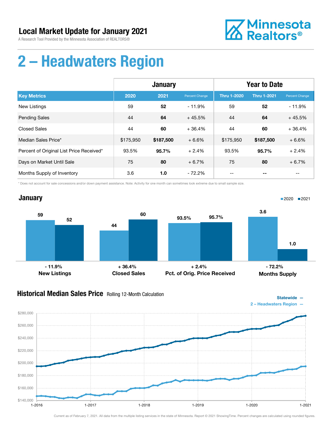

# 2 – Headwaters Region

|                                          | <b>January</b> |           |                | <b>Year to Date</b> |             |                |
|------------------------------------------|----------------|-----------|----------------|---------------------|-------------|----------------|
| <b>Key Metrics</b>                       | 2020           | 2021      | Percent Change | <b>Thru 1-2020</b>  | Thru 1-2021 | Percent Change |
| <b>New Listings</b>                      | 59             | 52        | $-11.9%$       | 59                  | 52          | $-11.9%$       |
| <b>Pending Sales</b>                     | 44             | 64        | $+45.5%$       | 44                  | 64          | $+45.5%$       |
| <b>Closed Sales</b>                      | 44             | 60        | $+36.4%$       | 44                  | 60          | $+36.4%$       |
| Median Sales Price*                      | \$175,950      | \$187,500 | $+6.6%$        | \$175,950           | \$187,500   | $+6.6%$        |
| Percent of Original List Price Received* | 93.5%          | 95.7%     | $+2.4%$        | 93.5%               | 95.7%       | $+2.4%$        |
| Days on Market Until Sale                | 75             | 80        | $+6.7%$        | 75                  | 80          | $+6.7%$        |
| Months Supply of Inventory               | 3.6            | 1.0       | - 72.2%        |                     |             |                |

\* Does not account for sale concessions and/or down payment assistance. Note: Activity for one month can sometimes look extreme due to small sample size.



#### **Historical Median Sales Price** Rolling 12-Month Calculation



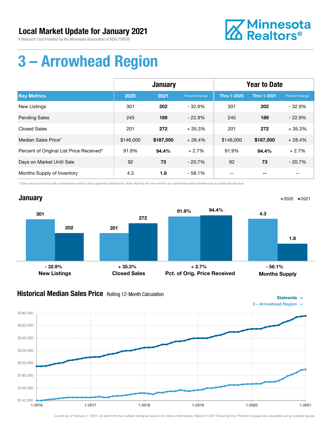A Research Tool Provided by the Minnesota Association of REALTORS®



# 3 – Arrowhead Region

|                                          | <b>January</b> |           |                | <b>Year to Date</b> |                    |                |
|------------------------------------------|----------------|-----------|----------------|---------------------|--------------------|----------------|
| <b>Key Metrics</b>                       | 2020           | 2021      | Percent Change | <b>Thru 1-2020</b>  | <b>Thru 1-2021</b> | Percent Change |
| New Listings                             | 301            | 202       | $-32.9\%$      | 301                 | 202                | $-32.9%$       |
| <b>Pending Sales</b>                     | 245            | 189       | $-22.9%$       | 245                 | 189                | $-22.9%$       |
| <b>Closed Sales</b>                      | 201            | 272       | $+35.3%$       | 201                 | 272                | $+35.3%$       |
| Median Sales Price*                      | \$146,000      | \$187,500 | $+28.4%$       | \$146,000           | \$187,500          | $+28.4%$       |
| Percent of Original List Price Received* | 91.9%          | 94.4%     | $+2.7%$        | 91.9%               | 94.4%              | $+2.7%$        |
| Days on Market Until Sale                | 92             | 73        | $-20.7%$       | 92                  | 73                 | $-20.7%$       |
| Months Supply of Inventory               | 4.3            | 1.8       | $-58.1%$       |                     |                    |                |

\* Does not account for sale concessions and/or down payment assistance. Note: Activity for one month can sometimes look extreme due to small sample size.



#### **Historical Median Sales Price** Rolling 12-Month Calculation



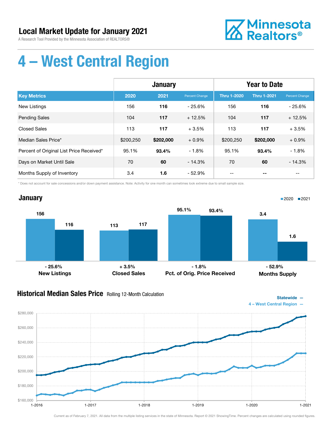A Research Tool Provided by the Minnesota Association of REALTORS®



# 4 – West Central Region

|                                          | <b>January</b> |           |                | <b>Year to Date</b> |                    |                |
|------------------------------------------|----------------|-----------|----------------|---------------------|--------------------|----------------|
| <b>Key Metrics</b>                       | 2020           | 2021      | Percent Change | <b>Thru 1-2020</b>  | <b>Thru 1-2021</b> | Percent Change |
| <b>New Listings</b>                      | 156            | 116       | $-25.6%$       | 156                 | 116                | $-25.6%$       |
| <b>Pending Sales</b>                     | 104            | 117       | $+12.5%$       | 104                 | 117                | $+12.5%$       |
| <b>Closed Sales</b>                      | 113            | 117       | $+3.5%$        | 113                 | 117                | $+3.5%$        |
| Median Sales Price*                      | \$200,250      | \$202,000 | $+0.9%$        | \$200,250           | \$202,000          | $+0.9%$        |
| Percent of Original List Price Received* | 95.1%          | 93.4%     | $-1.8%$        | 95.1%               | 93.4%              | $-1.8%$        |
| Days on Market Until Sale                | 70             | 60        | $-14.3%$       | 70                  | 60                 | $-14.3%$       |
| Months Supply of Inventory               | 3.4            | 1.6       | $-52.9%$       |                     |                    |                |

\* Does not account for sale concessions and/or down payment assistance. Note: Activity for one month can sometimes look extreme due to small sample size.



### Historical Median Sales Price Rolling 12-Month Calculation



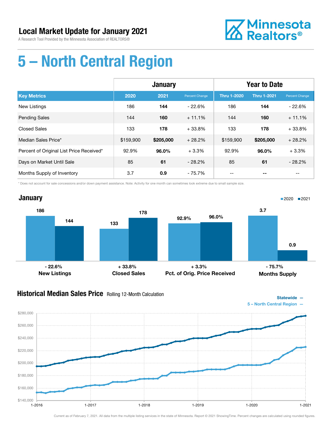

# 5 – North Central Region

|                                          | <b>January</b> |           |                | <b>Year to Date</b> |                    |                          |
|------------------------------------------|----------------|-----------|----------------|---------------------|--------------------|--------------------------|
| <b>Key Metrics</b>                       | 2020           | 2021      | Percent Change | <b>Thru 1-2020</b>  | <b>Thru 1-2021</b> | Percent Change           |
| New Listings                             | 186            | 144       | - 22.6%        | 186                 | 144                | $-22.6%$                 |
| <b>Pending Sales</b>                     | 144            | 160       | $+11.1%$       | 144                 | 160                | $+11.1%$                 |
| <b>Closed Sales</b>                      | 133            | 178       | $+33.8%$       | 133                 | 178                | $+33.8%$                 |
| Median Sales Price*                      | \$159,900      | \$205,000 | $+28.2%$       | \$159,900           | \$205,000          | $+28.2%$                 |
| Percent of Original List Price Received* | 92.9%          | 96.0%     | $+3.3%$        | 92.9%               | 96.0%              | $+3.3%$                  |
| Days on Market Until Sale                | 85             | 61        | $-28.2%$       | 85                  | 61                 | $-28.2%$                 |
| Months Supply of Inventory               | 3.7            | 0.9       | - 75.7%        | $- -$               | --                 | $\overline{\phantom{m}}$ |

\* Does not account for sale concessions and/or down payment assistance. Note: Activity for one month can sometimes look extreme due to small sample size.



#### Historical Median Sales Price Rolling 12-Month Calculation

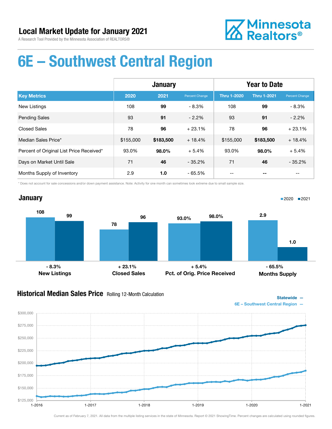

### 6E – Southwest Central Region

|                                          | <b>January</b> |           |                | <b>Year to Date</b> |                    |                |
|------------------------------------------|----------------|-----------|----------------|---------------------|--------------------|----------------|
| <b>Key Metrics</b>                       | 2020           | 2021      | Percent Change | <b>Thru 1-2020</b>  | <b>Thru 1-2021</b> | Percent Change |
| <b>New Listings</b>                      | 108            | 99        | $-8.3%$        | 108                 | 99                 | $-8.3%$        |
| <b>Pending Sales</b>                     | 93             | 91        | $-2.2%$        | 93                  | 91                 | $-2.2%$        |
| <b>Closed Sales</b>                      | 78             | 96        | $+23.1%$       | 78                  | 96                 | $+23.1%$       |
| Median Sales Price*                      | \$155,000      | \$183,500 | $+18.4%$       | \$155,000           | \$183,500          | $+18.4%$       |
| Percent of Original List Price Received* | 93.0%          | 98.0%     | $+5.4%$        | 93.0%               | 98.0%              | $+5.4%$        |
| Days on Market Until Sale                | 71             | 46        | $-35.2%$       | 71                  | 46                 | $-35.2%$       |
| Months Supply of Inventory               | 2.9            | 1.0       | $-65.5%$       |                     |                    |                |

\* Does not account for sale concessions and/or down payment assistance. Note: Activity for one month can sometimes look extreme due to small sample size.

#### **January** 108 78 99 96 New Listings Closed Sales 93.0% 98.0% Pct. of Orig. Price Received 2.9 1.0 Months Supply ■2020 2021  $-8.3\%$  - 8.3% - 65.5% + 23.1% - 65.5% + 5.4% - 65.5%

#### **Historical Median Sales Price** Rolling 12-Month Calculation



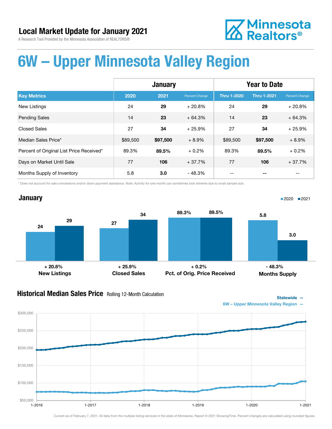# **Z** Minnesota<br>**ZA** Realtors<sup>®</sup>

### 6W – Upper Minnesota Valley Region

|                                          | <b>January</b> |          |                | <b>Year to Date</b> |                    |                |
|------------------------------------------|----------------|----------|----------------|---------------------|--------------------|----------------|
| <b>Key Metrics</b>                       | 2020           | 2021     | Percent Change | <b>Thru 1-2020</b>  | <b>Thru 1-2021</b> | Percent Change |
| <b>New Listings</b>                      | 24             | 29       | $+20.8%$       | 24                  | 29                 | $+20.8%$       |
| <b>Pending Sales</b>                     | 14             | 23       | $+64.3%$       | 14                  | 23                 | $+64.3%$       |
| <b>Closed Sales</b>                      | 27             | 34       | $+25.9%$       | 27                  | 34                 | $+25.9%$       |
| Median Sales Price*                      | \$89,500       | \$97,500 | $+8.9%$        | \$89,500            | \$97,500           | $+8.9%$        |
| Percent of Original List Price Received* | 89.3%          | 89.5%    | $+0.2%$        | 89.3%               | 89.5%              | $+0.2%$        |
| Days on Market Until Sale                | 77             | 106      | $+37.7%$       | 77                  | 106                | $+37.7%$       |
| Months Supply of Inventory               | 5.8            | 3.0      | $-48.3%$       |                     |                    |                |

\* Does not account for sale concessions and/or down payment assistance. Note: Activity for one month can sometimes look extreme due to small sample size.



#### **Historical Median Sales Price** Rolling 12-Month Calculation



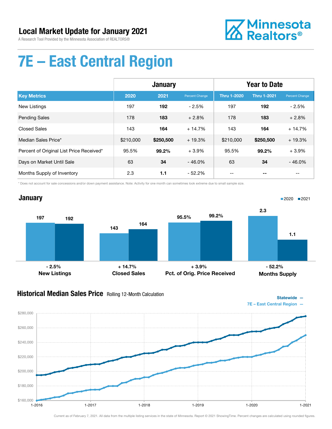

# 7E – East Central Region

|                                          | <b>January</b> |           |                | <b>Year to Date</b> |                    |                |
|------------------------------------------|----------------|-----------|----------------|---------------------|--------------------|----------------|
| <b>Key Metrics</b>                       | 2020           | 2021      | Percent Change | <b>Thru 1-2020</b>  | <b>Thru 1-2021</b> | Percent Change |
| <b>New Listings</b>                      | 197            | 192       | $-2.5%$        | 197                 | 192                | $-2.5%$        |
| <b>Pending Sales</b>                     | 178            | 183       | $+2.8%$        | 178                 | 183                | $+2.8%$        |
| <b>Closed Sales</b>                      | 143            | 164       | $+14.7%$       | 143                 | 164                | $+14.7%$       |
| Median Sales Price*                      | \$210,000      | \$250,500 | $+19.3%$       | \$210,000           | \$250,500          | $+19.3%$       |
| Percent of Original List Price Received* | 95.5%          | 99.2%     | $+3.9%$        | 95.5%               | 99.2%              | $+3.9%$        |
| Days on Market Until Sale                | 63             | 34        | $-46.0%$       | 63                  | 34                 | $-46.0%$       |
| Months Supply of Inventory               | 2.3            | 1.1       | $-52.2\%$      |                     |                    |                |

\* Does not account for sale concessions and/or down payment assistance. Note: Activity for one month can sometimes look extreme due to small sample size.



### Historical Median Sales Price Rolling 12-Month Calculation



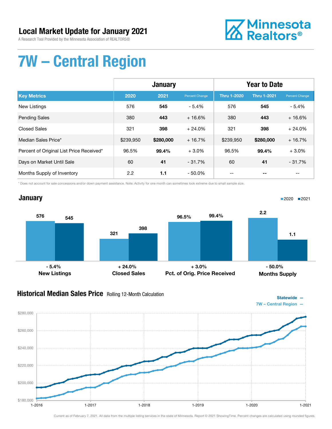A Research Tool Provided by the Minnesota Association of REALTORS®



# 7W – Central Region

|                                          | <b>January</b> |           |                | <b>Year to Date</b> |                    |                |
|------------------------------------------|----------------|-----------|----------------|---------------------|--------------------|----------------|
| <b>Key Metrics</b>                       | 2020           | 2021      | Percent Change | <b>Thru 1-2020</b>  | <b>Thru 1-2021</b> | Percent Change |
| New Listings                             | 576            | 545       | $-5.4%$        | 576                 | 545                | $-5.4%$        |
| <b>Pending Sales</b>                     | 380            | 443       | $+16.6%$       | 380                 | 443                | $+16.6%$       |
| <b>Closed Sales</b>                      | 321            | 398       | $+24.0%$       | 321                 | 398                | $+24.0%$       |
| Median Sales Price*                      | \$239,950      | \$280,000 | $+16.7%$       | \$239,950           | \$280,000          | $+16.7%$       |
| Percent of Original List Price Received* | 96.5%          | 99.4%     | $+3.0%$        | 96.5%               | 99.4%              | $+3.0%$        |
| Days on Market Until Sale                | 60             | 41        | $-31.7%$       | 60                  | 41                 | $-31.7%$       |
| Months Supply of Inventory               | 2.2            | 1.1       | $-50.0\%$      | --                  |                    | --             |

\* Does not account for sale concessions and/or down payment assistance. Note: Activity for one month can sometimes look extreme due to small sample size.

### **January**



### Historical Median Sales Price Rolling 12-Month Calculation



■2020 2021



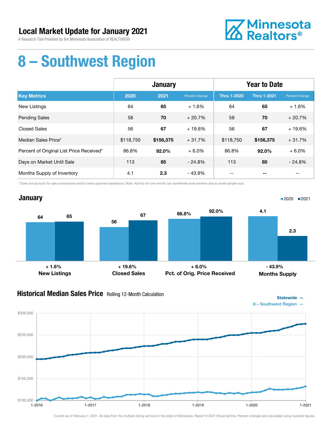A Research Tool Provided by the Minnesota Association of REALTORS®



## 8 – Southwest Region

|                                          | <b>January</b> |           |                | <b>Year to Date</b> |                    |                |
|------------------------------------------|----------------|-----------|----------------|---------------------|--------------------|----------------|
| <b>Key Metrics</b>                       | 2020           | 2021      | Percent Change | <b>Thru 1-2020</b>  | <b>Thru 1-2021</b> | Percent Change |
| <b>New Listings</b>                      | 64             | 65        | $+1.6%$        | 64                  | 65                 | $+1.6%$        |
| <b>Pending Sales</b>                     | 58             | 70        | $+20.7%$       | 58                  | 70                 | $+20.7%$       |
| <b>Closed Sales</b>                      | 56             | 67        | $+19.6%$       | 56                  | 67                 | $+19.6%$       |
| Median Sales Price*                      | \$118,750      | \$156,375 | $+31.7%$       | \$118,750           | \$156,375          | $+31.7%$       |
| Percent of Original List Price Received* | 86.8%          | 92.0%     | $+6.0%$        | 86.8%               | $92.0\%$           | $+6.0%$        |
| Days on Market Until Sale                | 113            | 85        | $-24.8%$       | 113                 | 85                 | $-24.8%$       |
| Months Supply of Inventory               | 4.1            | 2.3       | - 43.9%        |                     |                    |                |

\* Does not account for sale concessions and/or down payment assistance. Note: Activity for one month can sometimes look extreme due to small sample size.



#### **Historical Median Sales Price** Rolling 12-Month Calculation



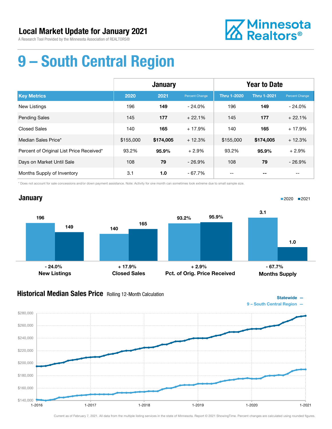

# 9 – South Central Region

|                                          | <b>January</b> |           |                | <b>Year to Date</b> |                    |                |
|------------------------------------------|----------------|-----------|----------------|---------------------|--------------------|----------------|
| <b>Key Metrics</b>                       | 2020           | 2021      | Percent Change | <b>Thru 1-2020</b>  | <b>Thru 1-2021</b> | Percent Change |
| <b>New Listings</b>                      | 196            | 149       | $-24.0%$       | 196                 | 149                | $-24.0%$       |
| <b>Pending Sales</b>                     | 145            | 177       | $+22.1%$       | 145                 | 177                | $+22.1%$       |
| <b>Closed Sales</b>                      | 140            | 165       | $+17.9%$       | 140                 | 165                | $+17.9%$       |
| Median Sales Price*                      | \$155,000      | \$174,005 | $+12.3%$       | \$155,000           | \$174,005          | $+12.3%$       |
| Percent of Original List Price Received* | 93.2%          | 95.9%     | $+2.9%$        | 93.2%               | 95.9%              | $+2.9%$        |
| Days on Market Until Sale                | 108            | 79        | $-26.9%$       | 108                 | 79                 | $-26.9%$       |
| Months Supply of Inventory               | 3.1            | 1.0       | $-67.7%$       | --                  |                    | --             |

\* Does not account for sale concessions and/or down payment assistance. Note: Activity for one month can sometimes look extreme due to small sample size.



#### **Historical Median Sales Price** Rolling 12-Month Calculation



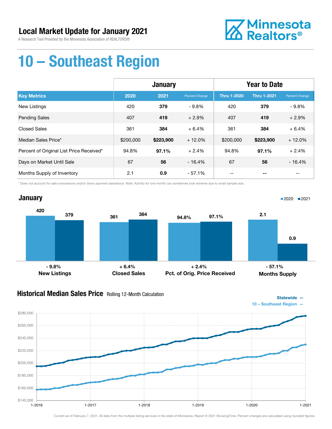

# 10 – Southeast Region

|                                          | <b>January</b> |           |                | <b>Year to Date</b> |                    |                |
|------------------------------------------|----------------|-----------|----------------|---------------------|--------------------|----------------|
| <b>Key Metrics</b>                       | 2020           | 2021      | Percent Change | <b>Thru 1-2020</b>  | <b>Thru 1-2021</b> | Percent Change |
| New Listings                             | 420            | 379       | $-9.8%$        | 420                 | 379                | $-9.8\%$       |
| <b>Pending Sales</b>                     | 407            | 419       | $+2.9%$        | 407                 | 419                | $+2.9%$        |
| <b>Closed Sales</b>                      | 361            | 384       | $+6.4%$        | 361                 | 384                | $+6.4%$        |
| Median Sales Price*                      | \$200,000      | \$223,900 | $+12.0%$       | \$200,000           | \$223,900          | $+12.0%$       |
| Percent of Original List Price Received* | 94.8%          | 97.1%     | $+2.4%$        | 94.8%               | 97.1%              | $+2.4%$        |
| Days on Market Until Sale                | 67             | 56        | $-16.4%$       | 67                  | 56                 | $-16.4%$       |
| Months Supply of Inventory               | 2.1            | 0.9       | $-57.1%$       | --                  |                    | --             |

\* Does not account for sale concessions and/or down payment assistance. Note: Activity for one month can sometimes look extreme due to small sample size.



#### **Historical Median Sales Price** Rolling 12-Month Calculation